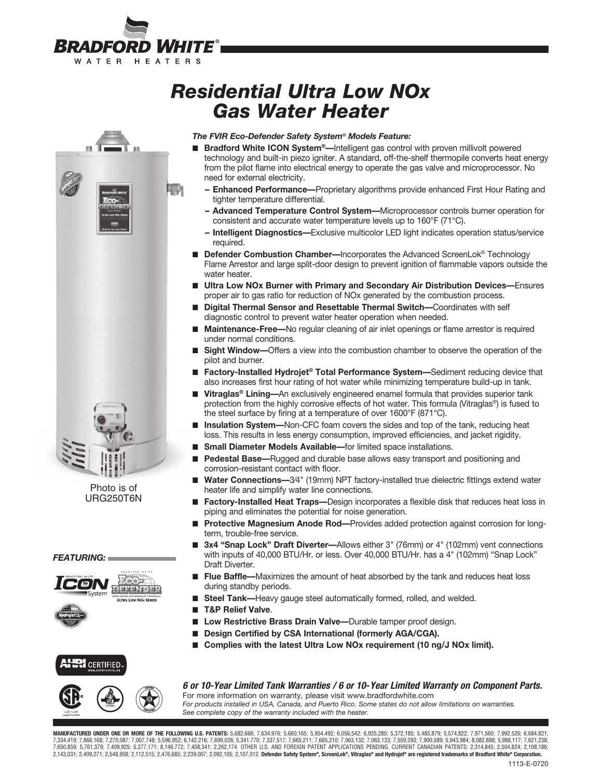

# *Residential Ultra Low NOx Gas Water Heater*



Photo is of URG250T6N

### *FEATURING:*



### *The FVIR Eco-Defender Safety System® Models Feature:*

- **Bradford White ICON System<sup>®</sup>—**Intelligent gas control with proven millivolt powered technology and built-in piezo igniter. A standard, off-the-shelf thermopile converts heat energy from the pilot flame into electrical energy to operate the gas valve and microprocessor. No need for external electricity.
	- **-- Enhanced Performance—**Proprietary algorithms provide enhanced First Hour Rating and tighter temperature differential.
	- **-- Advanced Temperature Control System—**Microprocessor controls burner operation for consistent and accurate water temperature levels up to 160°F (71°C).
	- **-- Intelligent Diagnostics—**Exclusive multicolor LED light indicates operation status/service required.
- **Defender Combustion Chamber—**Incorporates the Advanced ScreenLok<sup>®</sup> Technology Flame Arrestor and large split-door design to prevent ignition of flammable vapors outside the water heater.
- **Ultra Low NOx Burner with Primary and Secondary Air Distribution Devices—Ensures** proper air to gas ratio for reduction of NOx generated by the combustion process.
- **Digital Thermal Sensor and Resettable Thermal Switch—Coordinates with self** diagnostic control to prevent water heater operation when needed.
- **Maintenance-Free—No regular cleaning of air inlet openings or flame arrestor is required** under normal conditions.
- **Sight Window—Offers a view into the combustion chamber to observe the operation of the** pilot and burner.
- **Factory-Installed Hydrojet<sup>®</sup> Total Performance System—Sediment reducing device that** also increases first hour rating of hot water while minimizing temperature build-up in tank.
- **Vitraglas<sup>®</sup> Lining—**An exclusively engineered enamel formula that provides superior tank protection from the highly corrosive effects of hot water. This formula (Vitraglas®) is fused to the steel surface by firing at a temperature of over 1600°F (871°C).
- **Insulation System—Non-CFC foam covers the sides and top of the tank, reducing heat** loss. This results in less energy consumption, improved efficiencies, and jacket rigidity.
- **Small Diameter Models Available**—for limited space installations.
- **Pedestal Base—**Rugged and durable base allows easy transport and positioning and corrosion-resistant contact with floor.
- **Water Connections—3/4" (19mm) NPT factory-installed true dielectric fittings extend water** heater life and simplify water line connections.
- **Factory-Installed Heat Traps—**Design incorporates a flexible disk that reduces heat loss in piping and eliminates the potential for noise generation.
- **Protective Magnesium Anode Rod—Provides added protection against corrosion for long**term, trouble-free service.
- **3x4 "Snap Lock" Draft Diverter—Allows either 3" (76mm) or 4" (102mm) vent connections** with inputs of 40,000 BTU/Hr. or less. Over 40,000 BTU/Hr. has a 4" (102mm) "Snap Lock" Draft Diverter.
- Flue Baffle—Maximizes the amount of heat absorbed by the tank and reduces heat loss during standby periods.
- Steel Tank-Heavy gauge steel automatically formed, rolled, and welded.
- **T&P Relief Valve**.
- Low Restrictive Brass Drain Valve-Durable tamper proof design.
- **Design Certified by CSA International (formerly AGA/CGA).**
- **Complies with the latest Ultra Low NOx requirement (10 ng/J NOx limit).**



**WRICERTIFIED.** 

### *6 or 10-Year Limited Tank Warranties / 6 or 10- Year Limited Warranty on Component Parts.* For more information on warranty, please visit www.bradfordwhite.com

*For products installed in USA, Canada, and Puerto Rico. Some states do not allow limitations on warranties. See complete copy of the warranty included with the heater.*

**MANUFACTURED UNDER ONE OR MORE OF THE FOLLOWING U.S. PATENTS:** 5,682,666; 7,634,976; 5,660,165; 5,954,492; 6,056,542; 6,935,280; 5,372,185; 5,485,879; 5,574,822; 7,971,560; 7,992,526; 6,684,821; 7,334,419; 7,866,168; 7,270,087; 7,007,748; 5,596,952; 6,142,216; 7,699,026; 5,341,770; 7,337,517; 7,665,211; 7,665,210; 7,063,132; 7,063,133; 7,559,293; 7,900,589; 5,943,984; 8,082,888; 6,988,117; 7,621,238;<br>7,650,859; 5, 2,143,031; 2,409,271; 2,548,958; 2,112,515; 2,476,685; 2,239,007; 2,092,105; 2,107,012. **Defender Safety System®, ScreenLok®, Vitraglas® and Hydrojet® are registered trademarks of Bradford White® Corporation.**